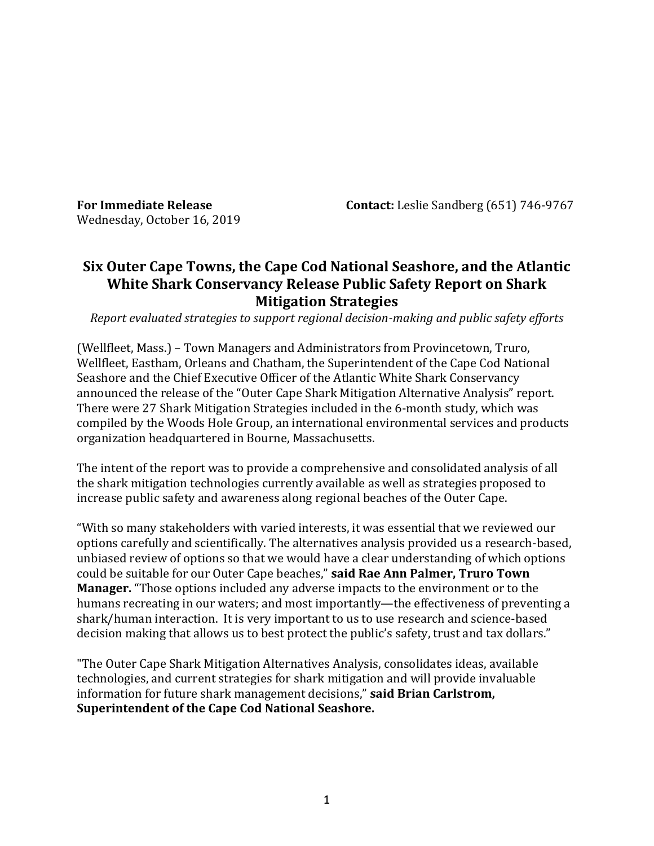Wednesday, October 16, 2019

**For Immediate Release Contact:** Leslie Sandberg (651) 746-9767

# **Six Outer Cape Towns, the Cape Cod National Seashore, and the Atlantic White Shark Conservancy Release Public Safety Report on Shark Mitigation Strategies**

*Report evaluated strategies to support regional decision-making and public safety efforts*

(Wellfleet, Mass.) – Town Managers and Administrators from Provincetown, Truro, Wellfleet, Eastham, Orleans and Chatham, the Superintendent of the Cape Cod National Seashore and the Chief Executive Officer of the Atlantic White Shark Conservancy announced the release of the "Outer Cape Shark Mitigation Alternative Analysis" report. There were 27 Shark Mitigation Strategies included in the 6-month study, which was compiled by the Woods Hole Group, an international environmental services and products organization headquartered in Bourne, Massachusetts.

The intent of the report was to provide a comprehensive and consolidated analysis of all the shark mitigation technologies currently available as well as strategies proposed to increase public safety and awareness along regional beaches of the Outer Cape.

"With so many stakeholders with varied interests, it was essential that we reviewed our options carefully and scientifically. The alternatives analysis provided us a research-based, unbiased review of options so that we would have a clear understanding of which options could be suitable for our Outer Cape beaches," **said Rae Ann Palmer, Truro Town Manager.** "Those options included any adverse impacts to the environment or to the humans recreating in our waters; and most importantly—the effectiveness of preventing a shark/human interaction. It is very important to us to use research and science-based decision making that allows us to best protect the public's safety, trust and tax dollars."

"The Outer Cape Shark Mitigation Alternatives Analysis, consolidates ideas, available technologies, and current strategies for shark mitigation and will provide invaluable information for future shark management decisions," **said Brian Carlstrom, Superintendent of the Cape Cod National Seashore.**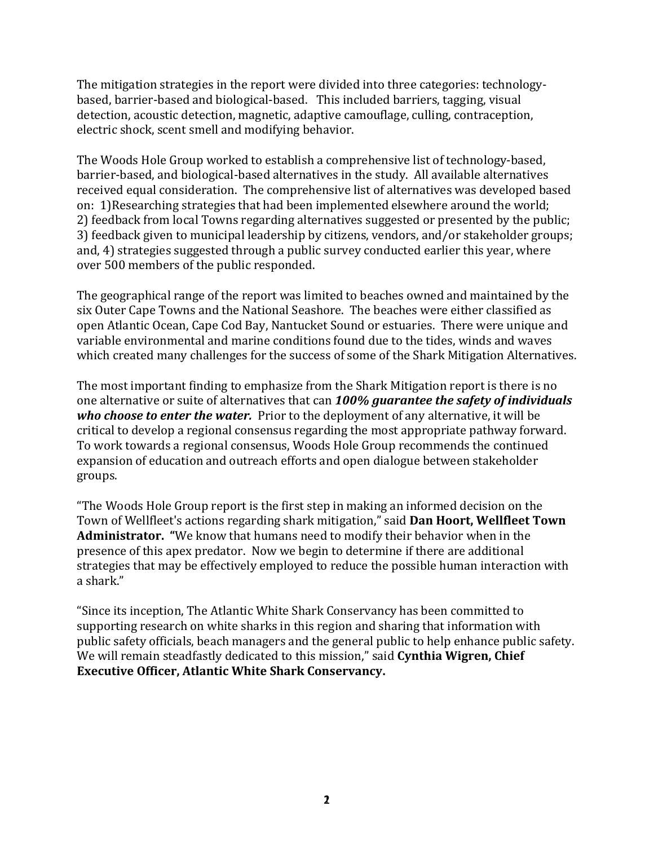The mitigation strategies in the report were divided into three categories: technologybased, barrier-based and biological-based. This included barriers, tagging, visual detection, acoustic detection, magnetic, adaptive camouflage, culling, contraception, electric shock, scent smell and modifying behavior.

The Woods Hole Group worked to establish a comprehensive list of technology-based, barrier-based, and biological-based alternatives in the study. All available alternatives received equal consideration. The comprehensive list of alternatives was developed based on: 1)Researching strategies that had been implemented elsewhere around the world; 2) feedback from local Towns regarding alternatives suggested or presented by the public; 3) feedback given to municipal leadership by citizens, vendors, and/or stakeholder groups; and, 4) strategies suggested through a public survey conducted earlier this year, where over 500 members of the public responded.

The geographical range of the report was limited to beaches owned and maintained by the six Outer Cape Towns and the National Seashore. The beaches were either classified as open Atlantic Ocean, Cape Cod Bay, Nantucket Sound or estuaries. There were unique and variable environmental and marine conditions found due to the tides, winds and waves which created many challenges for the success of some of the Shark Mitigation Alternatives.

The most important finding to emphasize from the Shark Mitigation report is there is no one alternative or suite of alternatives that can *100% guarantee the safety of individuals who choose to enter the water.* Prior to the deployment of any alternative, it will be critical to develop a regional consensus regarding the most appropriate pathway forward. To work towards a regional consensus, Woods Hole Group recommends the continued expansion of education and outreach efforts and open dialogue between stakeholder groups.

"The Woods Hole Group report is the first step in making an informed decision on the Town of Wellfleet's actions regarding shark mitigation," said **Dan Hoort, Wellfleet Town Administrator. "**We know that humans need to modify their behavior when in the presence of this apex predator. Now we begin to determine if there are additional strategies that may be effectively employed to reduce the possible human interaction with a shark."

"Since its inception, The Atlantic White Shark Conservancy has been committed to supporting research on white sharks in this region and sharing that information with public safety officials, beach managers and the general public to help enhance public safety. We will remain steadfastly dedicated to this mission," said **Cynthia Wigren, Chief Executive Officer, Atlantic White Shark Conservancy.**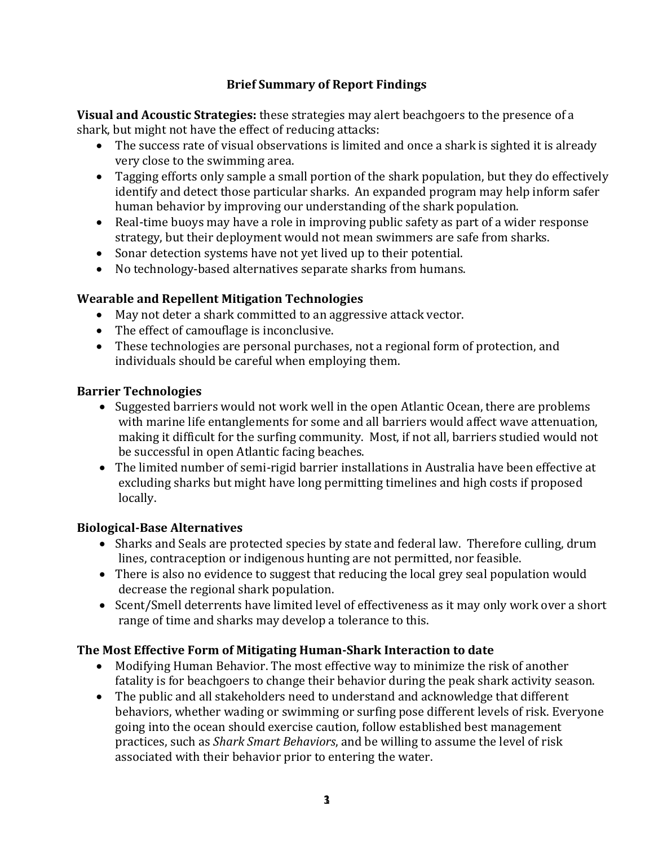# **Brief Summary of Report Findings**

**Visual and Acoustic Strategies:** these strategies may alert beachgoers to the presence of a shark, but might not have the effect of reducing attacks:

- The success rate of visual observations is limited and once a shark is sighted it is already very close to the swimming area.
- Tagging efforts only sample a small portion of the shark population, but they do effectively identify and detect those particular sharks. An expanded program may help inform safer human behavior by improving our understanding of the shark population.
- Real-time buoys may have a role in improving public safety as part of a wider response strategy, but their deployment would not mean swimmers are safe from sharks.
- Sonar detection systems have not yet lived up to their potential.
- No technology-based alternatives separate sharks from humans.

# **Wearable and Repellent Mitigation Technologies**

- May not deter a shark committed to an aggressive attack vector.
- The effect of camouflage is inconclusive.
- These technologies are personal purchases, not a regional form of protection, and individuals should be careful when employing them.

### **Barrier Technologies**

- Suggested barriers would not work well in the open Atlantic Ocean, there are problems with marine life entanglements for some and all barriers would affect wave attenuation, making it difficult for the surfing community. Most, if not all, barriers studied would not be successful in open Atlantic facing beaches.
- The limited number of semi-rigid barrier installations in Australia have been effective at excluding sharks but might have long permitting timelines and high costs if proposed locally.

### **Biological-Base Alternatives**

- Sharks and Seals are protected species by state and federal law. Therefore culling, drum lines, contraception or indigenous hunting are not permitted, nor feasible.
- There is also no evidence to suggest that reducing the local grey seal population would decrease the regional shark population.
- Scent/Smell deterrents have limited level of effectiveness as it may only work over a short range of time and sharks may develop a tolerance to this.

### **The Most Effective Form of Mitigating Human-Shark Interaction to date**

- Modifying Human Behavior. The most effective way to minimize the risk of another fatality is for beachgoers to change their behavior during the peak shark activity season.
- The public and all stakeholders need to understand and acknowledge that different behaviors, whether wading or swimming or surfing pose different levels of risk. Everyone going into the ocean should exercise caution, follow established best management practices, such as *Shark Smart Behaviors*, and be willing to assume the level of risk associated with their behavior prior to entering the water.